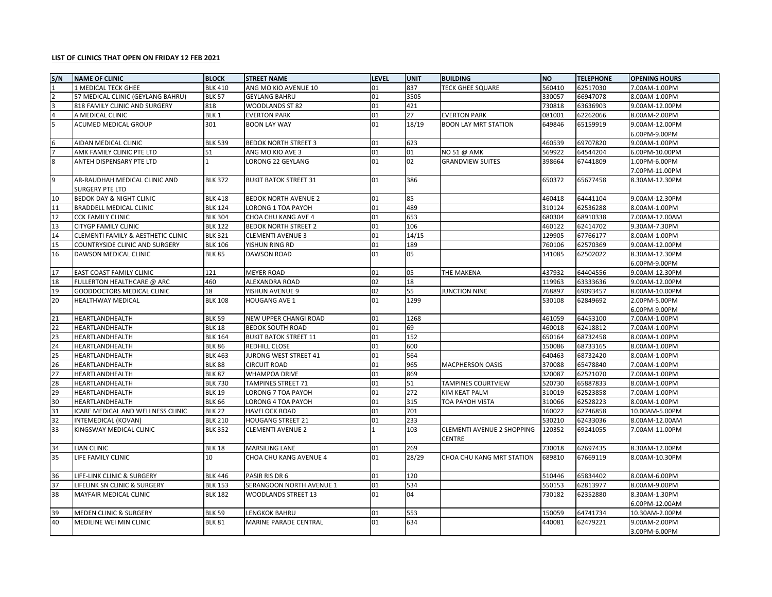## **LIST OF CLINICS THAT OPEN ON FRIDAY 12 FEB 2021**

| S/N | <b>NAME OF CLINIC</b>               | <b>BLOCK</b>     | <b>STREET NAME</b>           | <b>LEVEL</b> | <b>UNIT</b> | <b>BUILDING</b>                                    | <b>NO</b> | <b>TELEPHONE</b> | <b>OPENING HOURS</b>            |
|-----|-------------------------------------|------------------|------------------------------|--------------|-------------|----------------------------------------------------|-----------|------------------|---------------------------------|
|     | 1 MEDICAL TECK GHEE                 | <b>BLK 410</b>   | ANG MO KIO AVENUE 10         | 01           | 837         | <b>TECK GHEE SQUARE</b>                            | 560410    | 62517030         | 7.00AM-1.00PM                   |
|     | 57 MEDICAL CLINIC (GEYLANG BAHRU)   | <b>BLK 57</b>    | <b>GEYLANG BAHRU</b>         | 01           | 3505        |                                                    | 330057    | 66947078         | 8.00AM-1.00PM                   |
| 3   | 818 FAMILY CLINIC AND SURGERY       | 818              | WOODLANDS ST 82              | 01           | 421         |                                                    | 730818    | 63636903         | 9.00AM-12.00PM                  |
| 4   | A MEDICAL CLINIC                    | BLK <sub>1</sub> | <b>EVERTON PARK</b>          | 01           | 27          | <b>EVERTON PARK</b>                                | 081001    | 62262066         | 8.00AM-2.00PM                   |
| 5   | ACUMED MEDICAL GROUP                | 301              | <b>BOON LAY WAY</b>          | 01           | 18/19       | <b>BOON LAY MRT STATION</b>                        | 649846    | 65159919         | 9.00AM-12.00PM                  |
|     |                                     |                  |                              |              |             |                                                    |           |                  | 6.00PM-9.00PM                   |
| 6   | AIDAN MEDICAL CLINIC                | <b>BLK 539</b>   | <b>BEDOK NORTH STREET 3</b>  | 01           | 623         |                                                    | 460539    | 69707820         | 9.00AM-1.00PM                   |
|     | AMK FAMILY CLINIC PTE LTD           | 51               | ANG MO KIO AVE 3             | 01           | 01          | NO 51 @ AMK                                        | 569922    | 64544204         | 6.00PM-10.00PM                  |
| 8   | ANTEH DISPENSARY PTE LTD            |                  | LORONG 22 GEYLANG            | 01           | 02          | <b>GRANDVIEW SUITES</b>                            | 398664    | 67441809         | 1.00PM-6.00PM<br>7.00PM-11.00PM |
| 9   | AR-RAUDHAH MEDICAL CLINIC AND       | <b>BLK 372</b>   | <b>BUKIT BATOK STREET 31</b> | 01           | 386         |                                                    | 650372    | 65677458         | 8.30AM-12.30PM                  |
|     | SURGERY PTE LTD                     |                  |                              |              |             |                                                    |           |                  |                                 |
| 10  | <b>BEDOK DAY &amp; NIGHT CLINIC</b> | <b>BLK 418</b>   | <b>BEDOK NORTH AVENUE 2</b>  | 01           | 85          |                                                    | 460418    | 64441104         | 9.00AM-12.30PM                  |
| 11  | <b>BRADDELL MEDICAL CLINIC</b>      | <b>BLK 124</b>   | LORONG 1 TOA PAYOH           | 01           | 489         |                                                    | 310124    | 62536288         | 8.00AM-1.00PM                   |
| 12  | <b>CCK FAMILY CLINIC</b>            | <b>BLK 304</b>   | CHOA CHU KANG AVE 4          | 01           | 653         |                                                    | 680304    | 68910338         | 7.00AM-12.00AM                  |
| 13  | CITYGP FAMILY CLINIC                | <b>BLK 122</b>   | <b>BEDOK NORTH STREET 2</b>  | 01           | 106         |                                                    | 460122    | 62414702         | 9.30AM-7.30PM                   |
| 14  | CLEMENTI FAMILY & AESTHETIC CLINIC  | <b>BLK 321</b>   | <b>CLEMENTI AVENUE 3</b>     | 01           | 14/15       |                                                    | 129905    | 67766177         | 8.00AM-1.00PM                   |
| 15  | COUNTRYSIDE CLINIC AND SURGERY      | <b>BLK 106</b>   | YISHUN RING RD               | 01           | 189         |                                                    | 760106    | 62570369         | 9.00AM-12.00PM                  |
| 16  | DAWSON MEDICAL CLINIC               | <b>BLK 85</b>    | <b>DAWSON ROAD</b>           | 01           | 05          |                                                    | 141085    | 62502022         | 8.30AM-12.30PM                  |
|     |                                     |                  |                              |              |             |                                                    |           |                  | 6.00PM-9.00PM                   |
| 17  | EAST COAST FAMILY CLINIC            | 121              | <b>MEYER ROAD</b>            | 01           | 05          | THE MAKENA                                         | 437932    | 64404556         | 9.00AM-12.30PM                  |
| 18  | FULLERTON HEALTHCARE @ ARC          | 460              | ALEXANDRA ROAD               | 02           | 18          |                                                    | 119963    | 63333636         | 9.00AM-12.00PM                  |
| 19  | GOODDOCTORS MEDICAL CLINIC          | 18               | YISHUN AVENUE 9              | 02           | 55          | <b>JUNCTION NINE</b>                               | 768897    | 69093457         | 8.00AM-10.00PM                  |
| 20  | HEALTHWAY MEDICAL                   | <b>BLK 108</b>   | HOUGANG AVE 1                | 01           | 1299        |                                                    | 530108    | 62849692         | 2.00PM-5.00PM                   |
|     |                                     |                  |                              |              |             |                                                    |           |                  | 6.00PM-9.00PM                   |
| 21  | HEARTLANDHEALTH                     | <b>BLK 59</b>    | <b>NEW UPPER CHANGI ROAD</b> | 01           | 1268        |                                                    | 461059    | 64453100         | 7.00AM-1.00PM                   |
| 22  | HEARTLANDHEALTH                     | <b>BLK 18</b>    | <b>BEDOK SOUTH ROAD</b>      | 01           | 69          |                                                    | 460018    | 62418812         | 7.00AM-1.00PM                   |
| 23  | HEARTLANDHEALTH                     | <b>BLK 164</b>   | <b>BUKIT BATOK STREET 11</b> | 01           | 152         |                                                    | 650164    | 68732458         | 8.00AM-1.00PM                   |
| 24  | HEARTLANDHEALTH                     | <b>BLK 86</b>    | REDHILL CLOSE                | 01           | 600         |                                                    | 150086    | 68733165         | 8.00AM-1.00PM                   |
| 25  | HEARTLANDHEALTH                     | <b>BLK 463</b>   | JURONG WEST STREET 41        | 01           | 564         |                                                    | 640463    | 68732420         | 8.00AM-1.00PM                   |
| 26  | HEARTLANDHEALTH                     | <b>BLK 88</b>    | <b>CIRCUIT ROAD</b>          | 01           | 965         | <b>MACPHERSON OASIS</b>                            | 370088    | 65478840         | 7.00AM-1.00PM                   |
| 27  | HEARTLANDHEALTH                     | <b>BLK 87</b>    | <b>WHAMPOA DRIVE</b>         | 01           | 869         |                                                    | 320087    | 62521070         | 7.00AM-1.00PM                   |
| 28  | HEARTLANDHEALTH                     | <b>BLK 730</b>   | <b>TAMPINES STREET 71</b>    | 01           | 51          | TAMPINES COURTVIEW                                 | 520730    | 65887833         | 8.00AM-1.00PM                   |
| 29  | HEARTLANDHEALTH                     | <b>BLK 19</b>    | LORONG 7 TOA PAYOH           | 01           | 272         | KIM KEAT PALM                                      | 310019    | 62523858         | 7.00AM-1.00PM                   |
| 30  | HEARTLANDHEALTH                     | <b>BLK 66</b>    | LORONG 4 TOA PAYOH           | 01           | 315         | TOA PAYOH VISTA                                    | 310066    | 62528223         | 8.00AM-1.00PM                   |
| 31  | ICARE MEDICAL AND WELLNESS CLINIC   | <b>BLK 22</b>    | <b>HAVELOCK ROAD</b>         | 01           | 701         |                                                    | 160022    | 62746858         | 10.00AM-5.00PM                  |
| 32  | INTEMEDICAL (KOVAN)                 | <b>BLK 210</b>   | <b>HOUGANG STREET 21</b>     | 01           | 233         |                                                    | 530210    | 62433036         | 8.00AM-12.00AM                  |
| 33  | KINGSWAY MEDICAL CLINIC             | <b>BLK 352</b>   | <b>CLEMENTI AVENUE 2</b>     | 1            | 103         | <b>CLEMENTI AVENUE 2 SHOPPING</b><br><b>CENTRE</b> | 120352    | 69241055         | 7.00AM-11.00PM                  |
| 34  | LIAN CLINIC                         | <b>BLK 18</b>    | MARSILING LANE               | 01           | 269         |                                                    | 730018    | 62697435         | 8.30AM-12.00PM                  |
| 35  | LIFE FAMILY CLINIC                  | 10               | CHOA CHU KANG AVENUE 4       | 01           | 28/29       | CHOA CHU KANG MRT STATION                          | 689810    | 67669119         | 8.00AM-10.30PM                  |
| 36  | LIFE-LINK CLINIC & SURGERY          | <b>BLK 446</b>   | PASIR RIS DR 6               | 01           | 120         |                                                    | 510446    | 65834402         | 8.00AM-6.00PM                   |
| 37  | LIFELINK SN CLINIC & SURGERY        | <b>BLK 153</b>   | SERANGOON NORTH AVENUE 1     | 01           | 534         |                                                    | 550153    | 62813977         | 8.00AM-9.00PM                   |
| 38  | MAYFAIR MEDICAL CLINIC              | <b>BLK 182</b>   | <b>WOODLANDS STREET 13</b>   | 01           | 04          |                                                    | 730182    | 62352880         | 8.30AM-1.30PM                   |
|     |                                     |                  |                              |              |             |                                                    |           |                  | 6.00PM-12.00AM                  |
| 39  | MEDEN CLINIC & SURGERY              | <b>BLK 59</b>    | <b>LENGKOK BAHRU</b>         | 01           | 553         |                                                    | 150059    | 64741734         | 10.30AM-2.00PM                  |
| 40  | MEDILINE WEI MIN CLINIC             | <b>BLK 81</b>    | MARINE PARADE CENTRAL        | 01           | 634         |                                                    | 440081    | 62479221         | 9.00AM-2.00PM                   |
|     |                                     |                  |                              |              |             |                                                    |           |                  | 3.00PM-6.00PM                   |